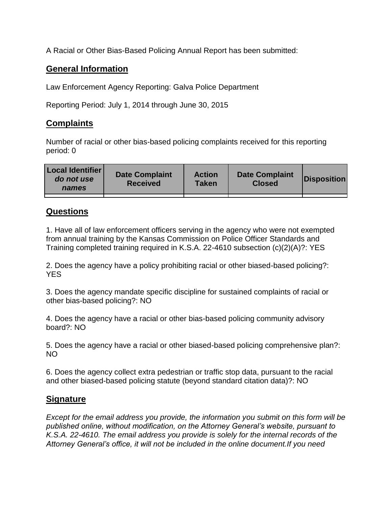A Racial or Other Bias-Based Policing Annual Report has been submitted:

## **General Information**

Law Enforcement Agency Reporting: Galva Police Department

Reporting Period: July 1, 2014 through June 30, 2015

## **Complaints**

Number of racial or other bias-based policing complaints received for this reporting period: 0

| <b>Local Identifier</b><br>do not use<br>names | <b>Date Complaint</b><br><b>Received</b> | <b>Action</b><br><b>Taken</b> | <b>Date Complaint</b><br><b>Closed</b> | Disposition |
|------------------------------------------------|------------------------------------------|-------------------------------|----------------------------------------|-------------|
|                                                |                                          |                               |                                        |             |

## **Questions**

1. Have all of law enforcement officers serving in the agency who were not exempted from annual training by the Kansas Commission on Police Officer Standards and Training completed training required in K.S.A. 22-4610 subsection (c)(2)(A)?: YES

2. Does the agency have a policy prohibiting racial or other biased-based policing?: YES

3. Does the agency mandate specific discipline for sustained complaints of racial or other bias-based policing?: NO

4. Does the agency have a racial or other bias-based policing community advisory board?: NO

5. Does the agency have a racial or other biased-based policing comprehensive plan?: NO

6. Does the agency collect extra pedestrian or traffic stop data, pursuant to the racial and other biased-based policing statute (beyond standard citation data)?: NO

## **Signature**

*Except for the email address you provide, the information you submit on this form will be published online, without modification, on the Attorney General's website, pursuant to K.S.A. 22-4610. The email address you provide is solely for the internal records of the Attorney General's office, it will not be included in the online document.If you need*